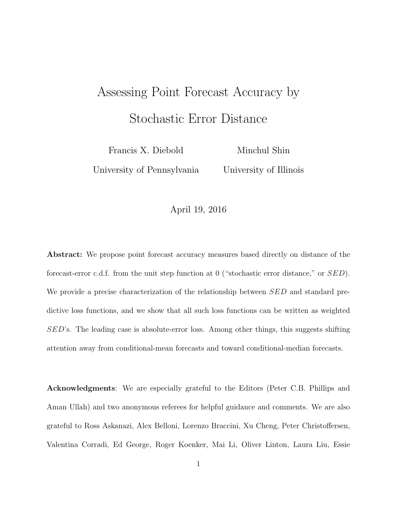## Assessing Point Forecast Accuracy by Stochastic Error Distance

Francis X. Diebold

Minchul Shin

University of Pennsylvania

University of Illinois

### April 19, 2016

Abstract: We propose point forecast accuracy measures based directly on distance of the forecast-error c.d.f. from the unit step function at 0 ("stochastic error distance," or SED). We provide a precise characterization of the relationship between SED and standard predictive loss functions, and we show that all such loss functions can be written as weighted SED's. The leading case is absolute-error loss. Among other things, this suggests shifting attention away from conditional-mean forecasts and toward conditional-median forecasts.

Acknowledgments: We are especially grateful to the Editors (Peter C.B. Phillips and Aman Ullah) and two anonymous referees for helpful guidance and comments. We are also grateful to Ross Askanazi, Alex Belloni, Lorenzo Braccini, Xu Cheng, Peter Christoffersen, Valentina Corradi, Ed George, Roger Koenker, Mai Li, Oliver Linton, Laura Liu, Essie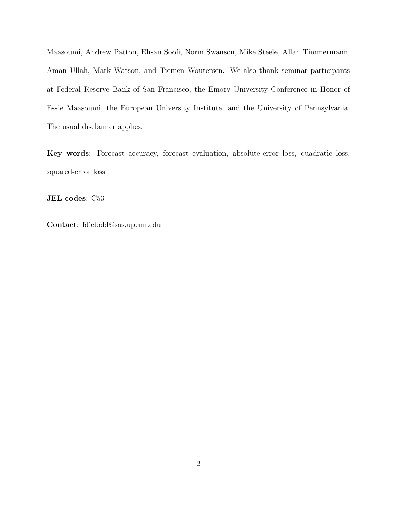Maasoumi, Andrew Patton, Ehsan Soofi, Norm Swanson, Mike Steele, Allan Timmermann, Aman Ullah, Mark Watson, and Tiemen Woutersen. We also thank seminar participants at Federal Reserve Bank of San Francisco, the Emory University Conference in Honor of Essie Maasoumi, the European University Institute, and the University of Pennsylvania. The usual disclaimer applies.

Key words: Forecast accuracy, forecast evaluation, absolute-error loss, quadratic loss, squared-error loss

JEL codes: C53

Contact: fdiebold@sas.upenn.edu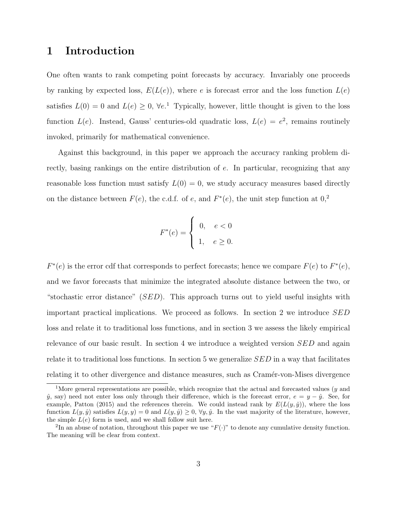## 1 Introduction

One often wants to rank competing point forecasts by accuracy. Invariably one proceeds by ranking by expected loss,  $E(L(e))$ , where e is forecast error and the loss function  $L(e)$ satisfies  $L(0) = 0$  and  $L(e) \geq 0$ ,  $\forall e$ .<sup>[1](#page-2-0)</sup> Typically, however, little thought is given to the loss function  $L(e)$ . Instead, Gauss' centuries-old quadratic loss,  $L(e) = e^2$ , remains routinely invoked, primarily for mathematical convenience.

Against this background, in this paper we approach the accuracy ranking problem directly, basing rankings on the entire distribution of e. In particular, recognizing that any reasonable loss function must satisfy  $L(0) = 0$ , we study accuracy measures based directly on the distance between  $F(e)$ , the c.d.f. of e, and  $F^*(e)$ , the unit step function at  $0,2$  $0,2$ 

$$
F^*(e) = \begin{cases} 0, & e < 0 \\ 1, & e \ge 0. \end{cases}
$$

 $F^*(e)$  is the error cdf that corresponds to perfect forecasts; hence we compare  $F(e)$  to  $F^*(e)$ , and we favor forecasts that minimize the integrated absolute distance between the two, or "stochastic error distance"  $(SED)$ . This approach turns out to yield useful insights with important practical implications. We proceed as follows. In section [2](#page-3-0) we introduce SED loss and relate it to traditional loss functions, and in section [3](#page-5-0) we assess the likely empirical relevance of our basic result. In section [4](#page-7-0) we introduce a weighted version SED and again relate it to traditional loss functions. In section [5](#page-9-0) we generalize SED in a way that facilitates relating it to other divergence and distance measures, such as Cramér-von-Mises divergence

<span id="page-2-0"></span><sup>&</sup>lt;sup>1</sup>More general representations are possible, which recognize that the actual and forecasted values ( $y$  and  $\hat{y}$ , say) need not enter loss only through their difference, which is the forecast error,  $e = y - \hat{y}$ . See, for example, [Patton](#page-22-0) [\(2015\)](#page-22-0) and the references therein. We could instead rank by  $E(L(y, \hat{y}))$ , where the loss function  $L(y, \hat{y})$  satisfies  $L(y, y) = 0$  and  $L(y, \hat{y}) \geq 0$ ,  $\forall y, \hat{y}$ . In the vast majority of the literature, however, the simple  $L(e)$  form is used, and we shall follow suit here.

<span id="page-2-1"></span><sup>&</sup>lt;sup>2</sup>In an abuse of notation, throughout this paper we use " $F(\cdot)$ " to denote any cumulative density function. The meaning will be clear from context.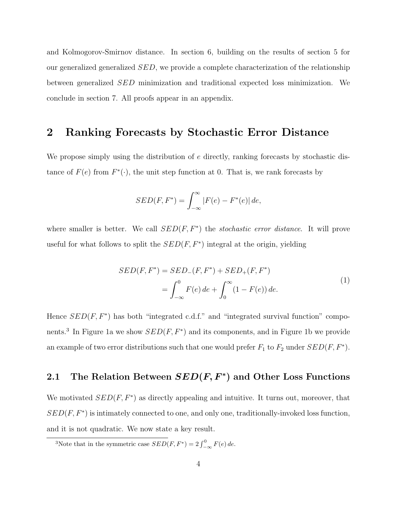and Kolmogorov-Smirnov distance. In section [6,](#page-13-0) building on the results of section [5](#page-9-0) for our generalized generalized SED, we provide a complete characterization of the relationship between generalized SED minimization and traditional expected loss minimization. We conclude in section [7.](#page-15-0) All proofs appear in an appendix.

### <span id="page-3-0"></span>2 Ranking Forecasts by Stochastic Error Distance

We propose simply using the distribution of e directly, ranking forecasts by stochastic distance of  $F(e)$  from  $F^*(\cdot)$ , the unit step function at 0. That is, we rank forecasts by

$$
SED(F, F^*) = \int_{-\infty}^{\infty} |F(e) - F^*(e)| \, de,
$$

where smaller is better. We call  $SED(F, F^*)$  the *stochastic error distance*. It will prove useful for what follows to split the  $SED(F, F^*)$  integral at the origin, yielding

$$
SED(F, F^*) = SED_{-}(F, F^*) + SED_{+}(F, F^*)
$$
  
= 
$$
\int_{-\infty}^{0} F(e) de + \int_{0}^{\infty} (1 - F(e)) de.
$$
 (1)

Hence  $SED(F, F^*)$  has both "integrated c.d.f." and "integrated survival function" compo-nents.<sup>[3](#page-3-1)</sup> In Figure [1a](#page-4-0) we show  $SED(F, F^*)$  and its components, and in Figure [1b](#page-4-0) we provide an example of two error distributions such that one would prefer  $F_1$  to  $F_2$  under  $SED(F, F^*)$ .

## 2.1 The Relation Between  $SED(F, F^*)$  and Other Loss Functions

We motivated  $SED(F, F^*)$  as directly appealing and intuitive. It turns out, moreover, that  $SED(F, F^*)$  is intimately connected to one, and only one, traditionally-invoked loss function, and it is not quadratic. We now state a key result.

<span id="page-3-2"></span><span id="page-3-1"></span><sup>&</sup>lt;sup>3</sup>Note that in the symmetric case  $SED(F, F^*) = 2 \int_{-\infty}^{0} F(e) de$ .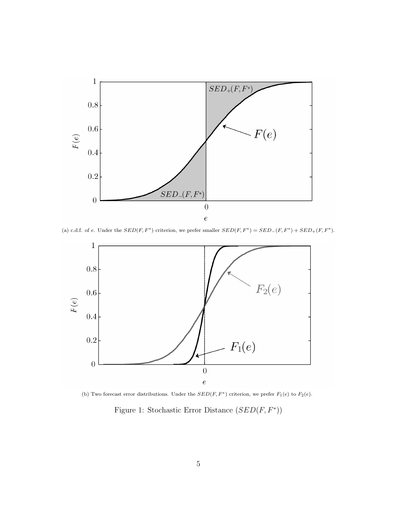<span id="page-4-0"></span>

(a) c.d.f. of e. Under the  $SED(F, F^*)$  criterion, we prefer smaller  $SED(F, F^*) = SED-(F, F^*) + SED_+(F, F^*)$ .



(b) Two forecast error distributions. Under the  $SED(F, F^*)$  criterion, we prefer  $F_1(e)$  to  $F_2(e)$ .

Figure 1: Stochastic Error Distance  $(SED(F, F^*))$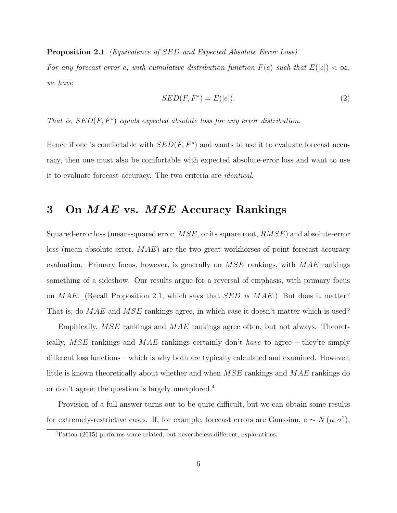Proposition 2.1 (Equivalence of SED and Expected Absolute Error Loss)

For any forecast error e, with cumulative distribution function  $F(e)$  such that  $E(|e|) < \infty$ , we have

$$
SED(F, F^*) = E(|e|). \tag{2}
$$

That is,  $SED(F, F^*)$  equals expected absolute loss for any error distribution.

Hence if one is comfortable with  $SED(F, F^*)$  and wants to use it to evaluate forecast accuracy, then one must also be comfortable with expected absolute-error loss and want to use it to evaluate forecast accuracy. The two criteria are identical.

## <span id="page-5-0"></span>3 On MAE vs. MSE Accuracy Rankings

Squared-error loss (mean-squared error,  $MSE$ , or its square root,  $RMSE$ ) and absolute-error loss (mean absolute error,  $MAE$ ) are the two great workhorses of point forecast accuracy evaluation. Primary focus, however, is generally on  $MSE$  rankings, with  $MAE$  rankings something of a sideshow. Our results argue for a reversal of emphasis, with primary focus on  $MAE$ . (Recall Proposition [2.1,](#page-3-2) which says that  $SED$  is  $MAE$ .) But does it matter? That is, do MAE and MSE rankings agree, in which case it doesn't matter which is used?

Empirically,  $MSE$  rankings and  $MAE$  rankings agree often, but not always. Theoretically,  $MSE$  rankings and  $MAE$  rankings certainly don't have to agree – they're simply different loss functions – which is why both are typically calculated and examined. However, little is known theoretically about whether and when MSE rankings and MAE rankings do or don't agree; the question is largely unexplored.[4](#page-5-1)

Provision of a full answer turns out to be quite difficult, but we can obtain some results for extremely-restrictive cases. If, for example, forecast errors are Gaussian,  $e \sim N(\mu, \sigma^2)$ ,

<span id="page-5-1"></span><sup>4</sup>[Patton](#page-22-0) [\(2015\)](#page-22-0) performs some related, but nevertheless different, explorations.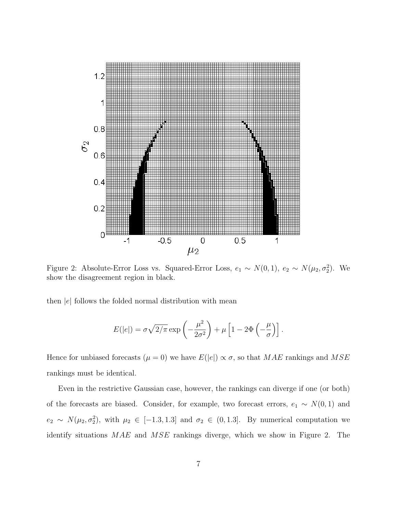<span id="page-6-0"></span>

Figure 2: Absolute-Error Loss vs. Squared-Error Loss,  $e_1 \sim N(0, 1)$ ,  $e_2 \sim N(\mu_2, \sigma_2^2)$ . We show the disagreement region in black.

then  $|e|$  follows the folded normal distribution with mean

$$
E(|e|) = \sigma \sqrt{2/\pi} \exp\left(-\frac{\mu^2}{2\sigma^2}\right) + \mu \left[1 - 2\Phi\left(-\frac{\mu}{\sigma}\right)\right].
$$

Hence for unbiased forecasts ( $\mu = 0$ ) we have  $E(|e|) \propto \sigma$ , so that MAE rankings and MSE rankings must be identical.

Even in the restrictive Gaussian case, however, the rankings can diverge if one (or both) of the forecasts are biased. Consider, for example, two forecast errors,  $e_1 \sim N(0, 1)$  and  $e_2 \sim N(\mu_2, \sigma_2^2)$ , with  $\mu_2 \in [-1.3, 1.3]$  and  $\sigma_2 \in (0, 1.3]$ . By numerical computation we identify situations MAE and MSE rankings diverge, which we show in Figure [2.](#page-6-0) The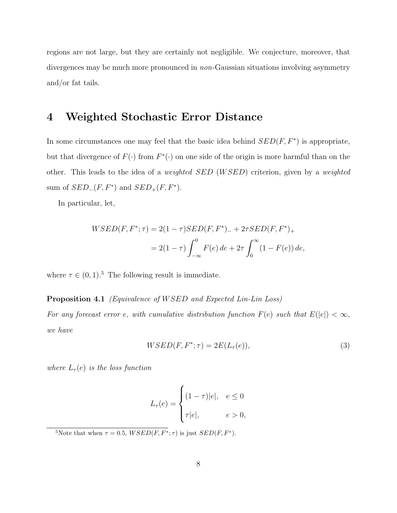regions are not large, but they are certainly not negligible. We conjecture, moreover, that divergences may be much more pronounced in *non*-Gaussian situations involving asymmetry and/or fat tails.

## <span id="page-7-0"></span>4 Weighted Stochastic Error Distance

In some circumstances one may feel that the basic idea behind  $SED(F, F^*)$  is appropriate, but that divergence of  $F(\cdot)$  from  $F^*(\cdot)$  on one side of the origin is more harmful than on the other. This leads to the idea of a *weighted SED* (*WSED*) criterion, given by a *weighted* sum of  $SED_{-}(F, F^*)$  and  $SED_{+}(F, F^*)$ .

In particular, let,

$$
WSED(F, F^*; \tau) = 2(1 - \tau)SED(F, F^*)_{-} + 2\tau SED(F, F^*)_{+}
$$

$$
= 2(1 - \tau) \int_{-\infty}^{0} F(e) \, de + 2\tau \int_{0}^{\infty} (1 - F(e)) \, de,
$$

<span id="page-7-2"></span>where  $\tau \in (0, 1)$ .<sup>[5](#page-7-1)</sup> The following result is immediate.

### Proposition 4.1 (Equivalence of WSED and Expected Lin-Lin Loss)

For any forecast error e, with cumulative distribution function  $F(e)$  such that  $E(|e|) < \infty$ , we have

$$
WSED(F, F^*; \tau) = 2E(L_{\tau}(e)),\tag{3}
$$

where  $L_{\tau}(e)$  is the loss function

$$
L_{\tau}(e) = \begin{cases} (1-\tau)|e|, & e \le 0\\ \tau|e|, & e > 0, \end{cases}
$$

<span id="page-7-1"></span><sup>5</sup>Note that when  $\tau = 0.5$ ,  $WSED(F, F^*; \tau)$  is just  $SED(F, F^*)$ .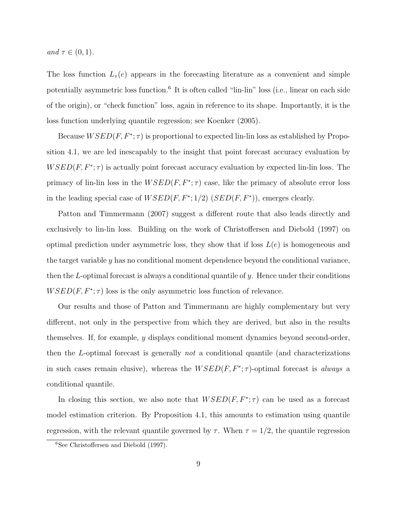and  $\tau \in (0,1)$ .

The loss function  $L_{\tau}(e)$  appears in the forecasting literature as a convenient and simple potentially asymmetric loss function.<sup>[6](#page-8-0)</sup> It is often called "lin-lin" loss (i.e., linear on each side of the origin), or "check function" loss, again in reference to its shape. Importantly, it is the loss function underlying quantile regression; see [Koenker](#page-22-1) [\(2005\)](#page-22-1).

Because  $WSED(F, F^*; \tau)$  is proportional to expected lin-lin loss as established by Proposition [4.1,](#page-7-2) we are led inescapably to the insight that point forecast accuracy evaluation by  $WSED(F, F^*; \tau)$  is actually point forecast accuracy evaluation by expected lin-lin loss. The primacy of lin-lin loss in the  $WSED(F, F^*; \tau)$  case, like the primacy of absolute error loss in the leading special case of  $WSED(F, F^*; 1/2)$   $(SED(F, F^*))$ , emerges clearly.

[Patton and Timmermann](#page-22-2) [\(2007\)](#page-22-2) suggest a different route that also leads directly and exclusively to lin-lin loss. Building on the work of [Christoffersen and Diebold](#page-21-0) [\(1997\)](#page-21-0) on optimal prediction under asymmetric loss, they show that if loss  $L(e)$  is homogeneous and the target variable y has no conditional moment dependence beyond the conditional variance, then the L-optimal forecast is always a conditional quantile of  $y$ . Hence under their conditions  $WSED(F, F^*; \tau)$  loss is the only asymmetric loss function of relevance.

Our results and those of Patton and Timmermann are highly complementary but very different, not only in the perspective from which they are derived, but also in the results themselves. If, for example, y displays conditional moment dynamics beyond second-order, then the L-optimal forecast is generally not a conditional quantile (and characterizations in such cases remain elusive), whereas the  $WSED(F, F^*; \tau)$ -optimal forecast is *always* a conditional quantile.

In closing this section, we also note that  $WSED(F, F^*; \tau)$  can be used as a forecast model estimation criterion. By Proposition [4.1,](#page-7-2) this amounts to estimation using quantile regression, with the relevant quantile governed by  $\tau$ . When  $\tau = 1/2$ , the quantile regression

<span id="page-8-0"></span><sup>6</sup>See [Christoffersen and Diebold](#page-21-0) [\(1997\)](#page-21-0).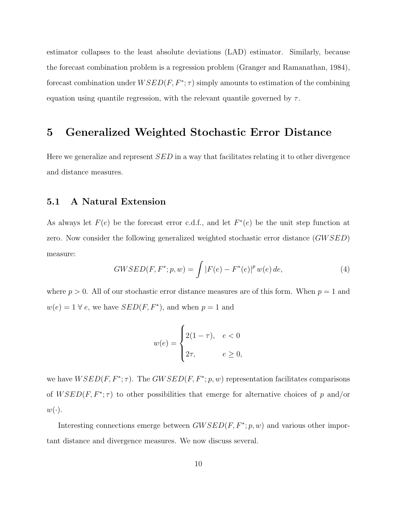estimator collapses to the least absolute deviations (LAD) estimator. Similarly, because the forecast combination problem is a regression problem [\(Granger and Ramanathan, 1984\)](#page-21-1), forecast combination under  $WSED(F, F^*; \tau)$  simply amounts to estimation of the combining equation using quantile regression, with the relevant quantile governed by  $\tau$ .

## <span id="page-9-0"></span>5 Generalized Weighted Stochastic Error Distance

Here we generalize and represent  $SED$  in a way that facilitates relating it to other divergence and distance measures.

### 5.1 A Natural Extension

As always let  $F(e)$  be the forecast error c.d.f., and let  $F^*(e)$  be the unit step function at zero. Now consider the following generalized weighted stochastic error distance (GWSED) measure:

$$
GWSED(F, F^*; p, w) = \int |F(e) - F^*(e)|^p w(e) \, de,\tag{4}
$$

where  $p > 0$ . All of our stochastic error distance measures are of this form. When  $p = 1$  and  $w(e) = 1 \,\forall e$ , we have  $SED(F, F^*)$ , and when  $p = 1$  and

$$
w(e) = \begin{cases} 2(1-\tau), & e < 0 \\ 2\tau, & e \ge 0, \end{cases}
$$

we have  $WSED(F, F^*; \tau)$ . The  $GWSED(F, F^*; p, w)$  representation facilitates comparisons of  $WSED(F, F^*; \tau)$  to other possibilities that emerge for alternative choices of p and/or  $w(\cdot).$ 

Interesting connections emerge between  $GWSED(F, F^*; p, w)$  and various other important distance and divergence measures. We now discuss several.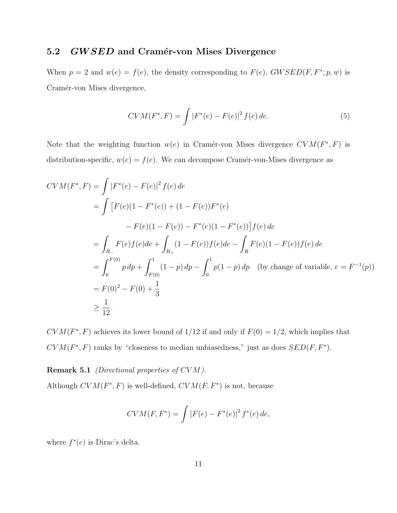### 5.2 GWSED and Cramér-von Mises Divergence

When  $p = 2$  and  $w(e) = f(e)$ , the density corresponding to  $F(e)$ ,  $GWSED(F, F^*; p, w)$  is Cramér-von Mises divergence,

$$
CVM(F^*, F) = \int |F^*(e) - F(e)|^2 f(e) \, de. \tag{5}
$$

Note that the weighting function  $w(e)$  in Cramér-von Mises divergence  $CVM(F^*, F)$  is distribution-specific,  $w(e) = f(e)$ . We can decompose Cramér-von-Mises divergence as

$$
CVM(F^*, F) = \int |F^*(e) - F(e)|^2 f(e) de
$$
  
= 
$$
\int [F(e)(1 - F^*(e)) + (1 - F(e))F^*(e))
$$
  

$$
- F(e)(1 - F(e)) - F^*(e)(1 - F^*(e))] f(e) de
$$
  
= 
$$
\int_{R_-} F(e)f(e) de + \int_{R_+} (1 - F(e))f(e) de - \int_{R} F(e)(1 - F(e))f(e) de
$$
  
= 
$$
\int_0^{F(0)} p dp + \int_{F(0)}^1 (1 - p) dp - \int_0^1 p(1 - p) dp \quad \text{(by change of variable, } e = F^{-1}(p))
$$
  
= 
$$
F(0)^2 - F(0) + \frac{1}{3}
$$
  

$$
\geq \frac{1}{12}.
$$

 $CVM(F^*, F)$  achieves its lower bound of 1/12 if and only if  $F(0) = 1/2$ , which implies that  $CVM(F^*, F)$  ranks by "closeness to median unbiasedness," just as does  $SED(F, F^*)$ .

Remark 5.1 *(Directional properties of CVM)*.

Although  $CVM(F^*, F)$  is well-defined,  $CVM(F, F^*)$  is not, because

$$
CVM(F, F^*) = \int |F(e) - F^*(e)|^2 f^*(e) de,
$$

where  $f^*(e)$  is Dirac's delta.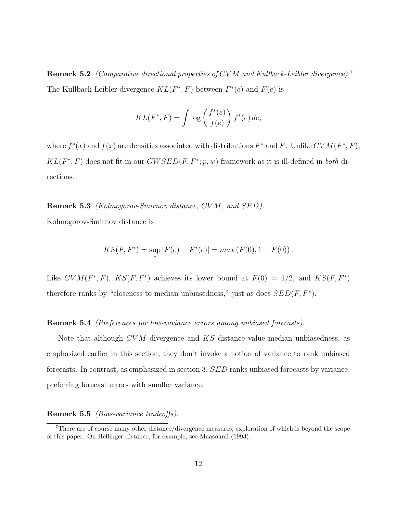Remark 5.2 (Comparative directional properties of CVM and Kullback-Leibler divergence).<sup>[7](#page-11-0)</sup> The Kullback-Leibler divergence  $KL(F^*, F)$  between  $F^*(e)$  and  $F(e)$  is

$$
KL(F^*, F) = \int \log \left( \frac{f^*(e)}{f(e)} \right) f^*(e) \, de,
$$

where  $f^*(x)$  and  $f(x)$  are densities associated with distributions  $F^*$  and F. Unlike  $CVM(F^*, F)$ ,  $KL(F^*, F)$  does not fit in our  $GWSED(F, F^*; p, w)$  framework as it is ill-defined in both directions.

Remark 5.3 (Kolmogorov-Smirnov distance, CV M, and SED).

Kolmogorov-Smirnov distance is

$$
KS(F, F^*) = \sup_e |F(e) - F^*(e)| = max (F(0), 1 - F(0)).
$$

Like  $CVM(F^*, F)$ ,  $KS(F, F^*)$  achieves its lower bound at  $F(0) = 1/2$ , and  $KS(F, F^*)$ therefore ranks by "closeness to median unbiasedness," just as does  $SED(F, F^*)$ .

#### Remark 5.4 (Preferences for low-variance errors among unbiased forecasts).

Note that although CVM divergence and KS distance value median unbiasedness, as emphasized earlier in this section, they don't invoke a notion of variance to rank unbiased forecasts. In contrast, as emphasized in section [3,](#page-5-0) SED ranks unbiased forecasts by variance, preferring forecast errors with smaller variance.

### Remark 5.5 (Bias-variance tradeoffs).

<span id="page-11-0"></span><sup>7</sup>There are of course many other distance/divergence measures, exploration of which is beyond the scope of this paper. On Hellinger distance, for example, see [Maasoumi](#page-22-3) [\(1993\)](#page-22-3).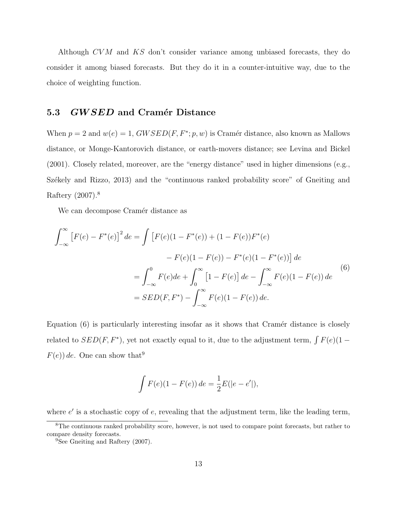Although CV M and KS don't consider variance among unbiased forecasts, they do consider it among biased forecasts. But they do it in a counter-intuitive way, due to the choice of weighting function.

### 5.3 GWSED and Cramér Distance

When  $p = 2$  and  $w(e) = 1$ ,  $GWSED(F, F^*; p, w)$  is Cramér distance, also known as Mallows distance, or Monge-Kantorovich distance, or earth-movers distance; see [Levina and Bickel](#page-22-4) [\(2001\)](#page-22-4). Closely related, moreover, are the "energy distance" used in higher dimensions (e.g., Székely and Rizzo, 2013) and the "continuous ranked probability score" of [Gneiting and](#page-21-2) [Raftery](#page-21-2) [\(2007\)](#page-21-2).[8](#page-12-0)

We can decompose Cramér distance as

<span id="page-12-1"></span>
$$
\int_{-\infty}^{\infty} \left[ F(e) - F^*(e) \right]^2 de = \int \left[ F(e)(1 - F^*(e)) + (1 - F(e))F^*(e) \right] d e
$$
  

$$
- F(e)(1 - F(e)) - F^*(e)(1 - F^*(e)) \Big] de
$$
  

$$
= \int_{-\infty}^{0} F(e) de + \int_{0}^{\infty} \left[ 1 - F(e) \right] de - \int_{-\infty}^{\infty} F(e)(1 - F(e)) de
$$
  

$$
= SED(F, F^*) - \int_{-\infty}^{\infty} F(e)(1 - F(e)) de.
$$
 (6)

Equation  $(6)$  is particularly interesting insofar as it shows that Cramér distance is closely related to  $SED(F, F^*)$ , yet not exactly equal to it, due to the adjustment term,  $\int F(e)(1-e^{-\lambda})$  $F(e)$ ) de. One can show that<sup>[9](#page-12-2)</sup>

$$
\int F(e)(1 - F(e)) de = \frac{1}{2}E(|e - e'|),
$$

where  $e'$  is a stochastic copy of  $e$ , revealing that the adjustment term, like the leading term,

<span id="page-12-0"></span><sup>8</sup>The continuous ranked probability score, however, is not used to compare point forecasts, but rather to compare density forecasts.

<span id="page-12-2"></span><sup>&</sup>lt;sup>9</sup>See [Gneiting and Raftery](#page-21-2) [\(2007\)](#page-21-2).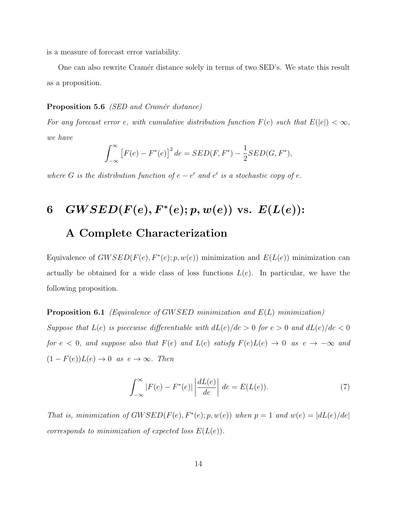is a measure of forecast error variability.

One can also rewrite Cramér distance solely in terms of two SED's. We state this result as a proposition.

### **Proposition 5.6** *(SED and Cramér distance)*

For any forecast error e, with cumulative distribution function  $F(e)$  such that  $E(|e|) < \infty$ , we have

$$
\int_{-\infty}^{\infty} [F(e) - F^*(e)]^2 de = SED(F, F^*) - \frac{1}{2} SED(G, F^*),
$$

where G is the distribution function of  $e - e'$  and  $e'$  is a stochastic copy of  $e$ .

# <span id="page-13-0"></span>6  $GWSED(F(e), F^*(e); p, w(e))$  vs.  $E(L(e))$ :

## A Complete Characterization

Equivalence of  $GWSED(F(e), F^*(e); p, w(e))$  minimization and  $E(L(e))$  minimization can actually be obtained for a wide class of loss functions  $L(e)$ . In particular, we have the following proposition.

<span id="page-13-2"></span>**Proposition 6.1** (Equivalence of GWSED minimization and  $E(L)$  minimization)

Suppose that  $L(e)$  is piecewise differentiable with  $dL(e)/de > 0$  for  $e > 0$  and  $dL(e)/de < 0$ for  $e < 0$ , and suppose also that  $F(e)$  and  $L(e)$  satisfy  $F(e)L(e) \rightarrow 0$  as  $e \rightarrow -\infty$  and  $(1 - F(e))L(e) \rightarrow 0$  as  $e \rightarrow \infty$ . Then

<span id="page-13-1"></span>
$$
\int_{-\infty}^{\infty} |F(e) - F^*(e)| \left| \frac{dL(e)}{de} \right| de = E(L(e)). \tag{7}
$$

That is, minimization of  $GWSED(F(e), F^*(e); p, w(e))$  when  $p = 1$  and  $w(e) = |dL(e)/de|$ corresponds to minimization of expected loss  $E(L(e))$ .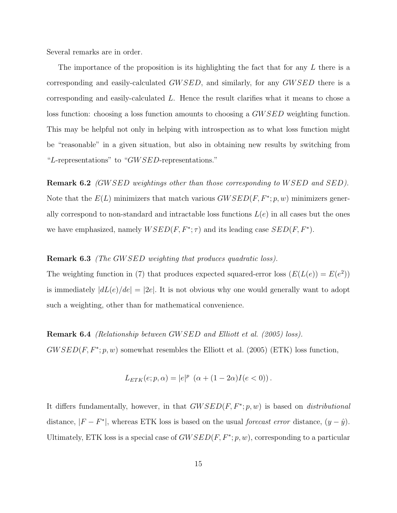Several remarks are in order.

The importance of the proposition is its highlighting the fact that for any L there is a corresponding and easily-calculated GW SED, and similarly, for any GW SED there is a corresponding and easily-calculated L. Hence the result clarifies what it means to chose a loss function: choosing a loss function amounts to choosing a GW SED weighting function. This may be helpful not only in helping with introspection as to what loss function might be "reasonable" in a given situation, but also in obtaining new results by switching from "L-representations" to "GW SED-representations."

**Remark 6.2** (GWSED weightings other than those corresponding to WSED and SED). Note that the  $E(L)$  minimizers that match various  $GWSED(F, F^*; p, w)$  minimizers generally correspond to non-standard and intractable loss functions  $L(e)$  in all cases but the ones we have emphasized, namely  $WSED(F, F^*; \tau)$  and its leading case  $SED(F, F^*)$ .

### **Remark 6.3** (The GWSED weighting that produces quadratic loss).

The weighting function in [\(7\)](#page-13-1) that produces expected squared-error loss  $(E(L(e)) = E(e^2))$ is immediately  $|dL(e)/de| = |2e|$ . It is not obvious why one would generally want to adopt such a weighting, other than for mathematical convenience.

### Remark 6.4 (Relationship between GW SED and [Elliott et al.](#page-21-3) [\(2005\)](#page-21-3) loss).

 $GWSED(F, F^*; p, w)$  somewhat resembles the [Elliott et al.](#page-21-3) [\(2005\)](#page-21-3) (ETK) loss function,

$$
L_{ETK}(e; p, \alpha) = |e|^p \left( \alpha + (1 - 2\alpha)I(e < 0) \right).
$$

It differs fundamentally, however, in that  $GWSED(F, F^*; p, w)$  is based on *distributional* distance,  $|F - F^*|$ , whereas ETK loss is based on the usual *forecast error* distance,  $(y - \hat{y})$ . Ultimately, ETK loss is a special case of  $GWSED(F, F^*; p, w)$ , corresponding to a particular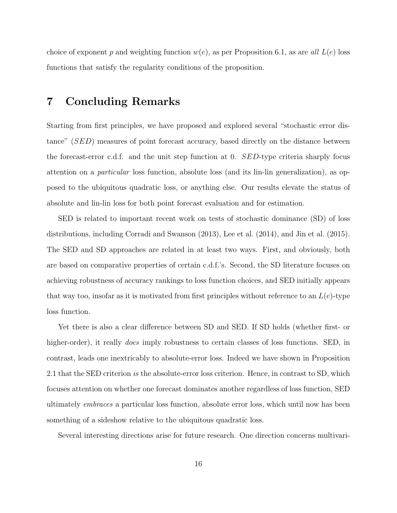choice of exponent p and weighting function  $w(e)$ , as per Proposition [6.1,](#page-13-2) as are all  $L(e)$  loss functions that satisfy the regularity conditions of the proposition.

## <span id="page-15-0"></span>7 Concluding Remarks

Starting from first principles, we have proposed and explored several "stochastic error distance" (SED) measures of point forecast accuracy, based directly on the distance between the forecast-error c.d.f. and the unit step function at 0. SED-type criteria sharply focus attention on a particular loss function, absolute loss (and its lin-lin generalization), as opposed to the ubiquitous quadratic loss, or anything else. Our results elevate the status of absolute and lin-lin loss for both point forecast evaluation and for estimation.

SED is related to important recent work on tests of stochastic dominance (SD) of loss distributions, including [Corradi and Swanson](#page-21-4) [\(2013\)](#page-21-4), [Lee et al.](#page-22-6) [\(2014\)](#page-22-6), and [Jin et al.](#page-21-5) [\(2015\)](#page-21-5). The SED and SD approaches are related in at least two ways. First, and obviously, both are based on comparative properties of certain c.d.f.'s. Second, the SD literature focuses on achieving robustness of accuracy rankings to loss function choices, and SED initially appears that way too, insofar as it is motivated from first principles without reference to an  $L(e)$ -type loss function.

Yet there is also a clear difference between SD and SED. If SD holds (whether first- or higher-order), it really *does* imply robustness to certain classes of loss functions. SED, in contrast, leads one inextricably to absolute-error loss. Indeed we have shown in Proposition [2.1](#page-3-2) that the SED criterion is the absolute-error loss criterion. Hence, in contrast to SD, which focuses attention on whether one forecast dominates another regardless of loss function, SED ultimately embraces a particular loss function, absolute error loss, which until now has been something of a sideshow relative to the ubiquitous quadratic loss.

Several interesting directions arise for future research. One direction concerns multivari-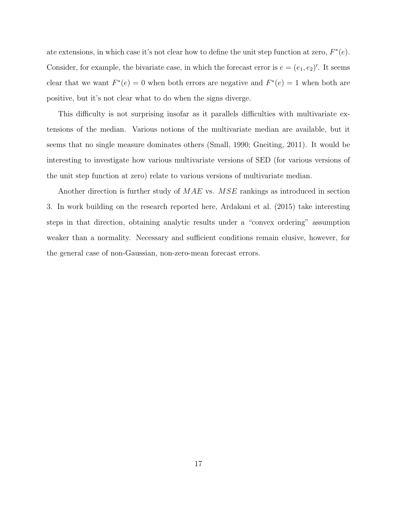ate extensions, in which case it's not clear how to define the unit step function at zero,  $F^*(e)$ . Consider, for example, the bivariate case, in which the forecast error is  $e = (e_1, e_2)'$ . It seems clear that we want  $F^*(e) = 0$  when both errors are negative and  $F^*(e) = 1$  when both are positive, but it's not clear what to do when the signs diverge.

This difficulty is not surprising insofar as it parallels difficulties with multivariate extensions of the median. Various notions of the multivariate median are available, but it seems that no single measure dominates others [\(Small, 1990;](#page-22-7) [Gneiting, 2011\)](#page-21-6). It would be interesting to investigate how various multivariate versions of SED (for various versions of the unit step function at zero) relate to various versions of multivariate median.

Another direction is further study of MAE vs. MSE rankings as introduced in section [3.](#page-5-0) In work building on the research reported here, [Ardakani et al.](#page-21-7) [\(2015\)](#page-21-7) take interesting steps in that direction, obtaining analytic results under a "convex ordering" assumption weaker than a normality. Necessary and sufficient conditions remain elusive, however, for the general case of non-Gaussian, non-zero-mean forecast errors.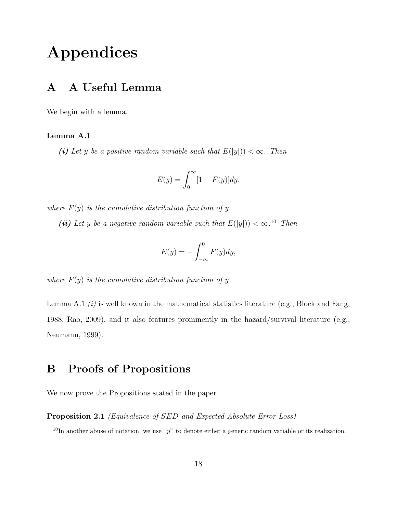## Appendices

## A A Useful Lemma

<span id="page-17-1"></span>We begin with a lemma.

### Lemma A.1

(i) Let y be a positive random variable such that  $E(|y|) < \infty$ . Then

$$
E(y) = \int_0^\infty [1 - F(y)] dy,
$$

where  $F(y)$  is the cumulative distribution function of y.

(ii) Let y be a negative random variable such that  $E(|y|) < \infty$ .<sup>[10](#page-17-0)</sup> Then

$$
E(y) = -\int_{-\infty}^{0} F(y) dy,
$$

where  $F(y)$  is the cumulative distribution function of y.

Lemma [A.1](#page-17-1)  $(i)$  is well known in the mathematical statistics literature (e.g., [Block and Fang,](#page-21-8) [1988;](#page-21-8) [Rao, 2009\)](#page-22-8), and it also features prominently in the hazard/survival literature (e.g., [Neumann, 1999\)](#page-22-9).

## B Proofs of Propositions

We now prove the Propositions stated in the paper.

Proposition [2.1](#page-3-2) (Equivalence of SED and Expected Absolute Error Loss)

<span id="page-17-0"></span><sup>&</sup>lt;sup>10</sup>In another abuse of notation, we use "y" to denote either a generic random variable or its realization.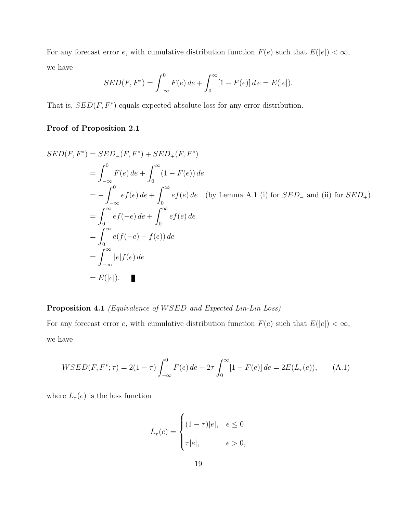For any forecast error e, with cumulative distribution function  $F(e)$  such that  $E(|e|) < \infty$ , we have

$$
SED(F, F^*) = \int_{-\infty}^{0} F(e) \, de + \int_{0}^{\infty} [1 - F(e)] \, de = E(|e|).
$$

That is,  $SED(F, F^*)$  equals expected absolute loss for any error distribution.

### Proof of Proposition [2.1](#page-3-2)

$$
SED(F, F^*) = SED_{-}(F, F^*) + SED_{+}(F, F^*)
$$
  
=  $\int_{-\infty}^{0} F(e) de + \int_{0}^{\infty} (1 - F(e)) de$   
=  $-\int_{-\infty}^{0} ef(e) de + \int_{0}^{\infty} ef(e) de$  (by Lemma A.1 (i) for SED<sub>-</sub> and (ii) for SED<sub>+</sub>)  
=  $\int_{0}^{\infty} ef(-e) de + \int_{0}^{\infty} ef(e) de$   
=  $\int_{-\infty}^{\infty} e(f(-e) + f(e)) de$   
=  $\int_{-\infty}^{\infty} |e| f(e) de$   
=  $E(|e|)$ .

Proposition [4.1](#page-7-2) (Equivalence of WSED and Expected Lin-Lin Loss)

For any forecast error e, with cumulative distribution function  $F(e)$  such that  $E(|e|) < \infty$ , we have

$$
WSED(F, F^*; \tau) = 2(1 - \tau) \int_{-\infty}^{0} F(e) \, de + 2\tau \int_{0}^{\infty} [1 - F(e)] \, de = 2E(L_{\tau}(e)), \tag{A.1}
$$

where  $L_{\tau}(e)$  is the loss function

$$
L_{\tau}(e) = \begin{cases} (1-\tau)|e|, & e \le 0\\ \tau|e|, & e > 0, \end{cases}
$$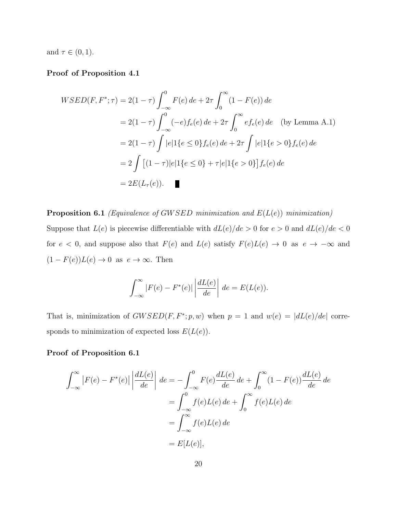and  $\tau \in (0,1)$ .

### Proof of Proposition [4.1](#page-7-2)

$$
WSED(F, F^*; \tau) = 2(1 - \tau) \int_{-\infty}^{0} F(e) de + 2\tau \int_{0}^{\infty} (1 - F(e)) de
$$
  
= 2(1 - \tau) \int\_{-\infty}^{0} (-e) f\_e(e) de + 2\tau \int\_{0}^{\infty} e f\_e(e) de \text{ (by Lemma A.1)}  
= 2(1 - \tau) \int |e| 1\{e \le 0\} f\_e(e) de + 2\tau \int |e| 1\{e > 0\} f\_e(e) de  
= 2 \int [(1 - \tau)|e| 1\{e \le 0\} + \tau|e| 1\{e > 0\}] f\_e(e) de  
= 2E(L\_{\tau}(e)).

**Proposition [6.1](#page-13-2)** (Equivalence of GWSED minimization and  $E(L(e))$  minimization) Suppose that  $L(e)$  is piecewise differentiable with  $dL(e)/de > 0$  for  $e > 0$  and  $dL(e)/de < 0$ for  $e < 0$ , and suppose also that  $F(e)$  and  $L(e)$  satisfy  $F(e)L(e) \rightarrow 0$  as  $e \rightarrow -\infty$  and  $(1 - F(e))L(e) \to 0$  as  $e \to \infty$ . Then

$$
\int_{-\infty}^{\infty} |F(e) - F^*(e)| \left| \frac{dL(e)}{de} \right| de = E(L(e)).
$$

That is, minimization of  $GWSED(F, F^*; p, w)$  when  $p = 1$  and  $w(e) = |dL(e)/de|$  corresponds to minimization of expected loss  $E(L(e))$ .

### Proof of Proposition [6.1](#page-13-2)

$$
\int_{-\infty}^{\infty} |F(e) - F^*(e)| \left| \frac{dL(e)}{de} \right| de = -\int_{-\infty}^{0} F(e) \frac{dL(e)}{de} de + \int_{0}^{\infty} (1 - F(e)) \frac{dL(e)}{de} de
$$

$$
= \int_{-\infty}^{0} f(e)L(e) de + \int_{0}^{\infty} f(e)L(e) de
$$

$$
= \int_{-\infty}^{\infty} f(e)L(e) de
$$

$$
= E[L(e)],
$$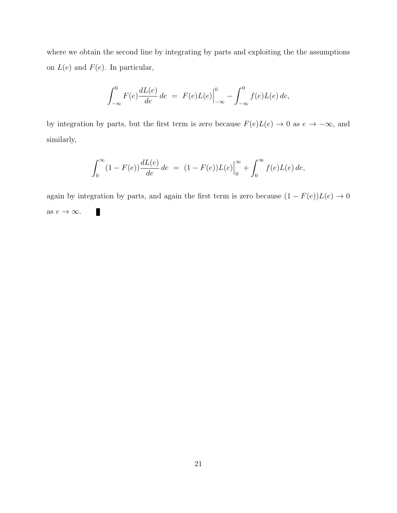where we obtain the second line by integrating by parts and exploiting the the assumptions on  $L(e)$  and  $F(e)$ . In particular,

$$
\int_{-\infty}^{0} F(e) \frac{dL(e)}{de} de = F(e)L(e) \Big|_{-\infty}^{0} - \int_{-\infty}^{0} f(e)L(e) de,
$$

by integration by parts, but the first term is zero because  $F(e)L(e) \to 0$  as  $e \to -\infty$ , and similarly,

$$
\int_0^{\infty} (1 - F(e)) \frac{dL(e)}{de} de = (1 - F(e))L(e) \Big|_0^{\infty} + \int_0^{\infty} f(e)L(e) de,
$$

again by integration by parts, and again the first term is zero because  $(1 - F(e))L(e) \rightarrow 0$ Ш as  $e \rightarrow \infty$ .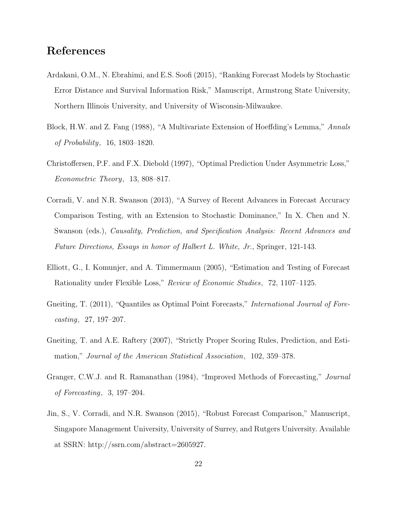## References

- <span id="page-21-7"></span>Ardakani, O.M., N. Ebrahimi, and E.S. Soofi (2015), "Ranking Forecast Models by Stochastic Error Distance and Survival Information Risk," Manuscript, Armstrong State University, Northern Illinois University, and University of Wisconsin-Milwaukee.
- <span id="page-21-8"></span>Block, H.W. and Z. Fang (1988), "A Multivariate Extension of Hoeffding's Lemma," Annals of Probability, 16, 1803–1820.
- <span id="page-21-0"></span>Christoffersen, P.F. and F.X. Diebold (1997), "Optimal Prediction Under Asymmetric Loss," Econometric Theory, 13, 808–817.
- <span id="page-21-4"></span>Corradi, V. and N.R. Swanson (2013), "A Survey of Recent Advances in Forecast Accuracy Comparison Testing, with an Extension to Stochastic Dominance," In X. Chen and N. Swanson (eds.), Causality, Prediction, and Specification Analysis: Recent Advances and Future Directions, Essays in honor of Halbert L. White, Jr., Springer, 121-143.
- <span id="page-21-3"></span>Elliott, G., I. Komunjer, and A. Timmermann (2005), "Estimation and Testing of Forecast Rationality under Flexible Loss," Review of Economic Studies, 72, 1107–1125.
- <span id="page-21-6"></span>Gneiting, T. (2011), "Quantiles as Optimal Point Forecasts," *International Journal of Fore*casting, 27, 197–207.
- <span id="page-21-2"></span>Gneiting, T. and A.E. Raftery (2007), "Strictly Proper Scoring Rules, Prediction, and Estimation," Journal of the American Statistical Association, 102, 359–378.
- <span id="page-21-1"></span>Granger, C.W.J. and R. Ramanathan (1984), "Improved Methods of Forecasting," Journal of Forecasting, 3, 197–204.
- <span id="page-21-5"></span>Jin, S., V. Corradi, and N.R. Swanson (2015), "Robust Forecast Comparison," Manuscript, Singapore Management University, University of Surrey, and Rutgers University. Available at SSRN: http://ssrn.com/abstract=2605927.